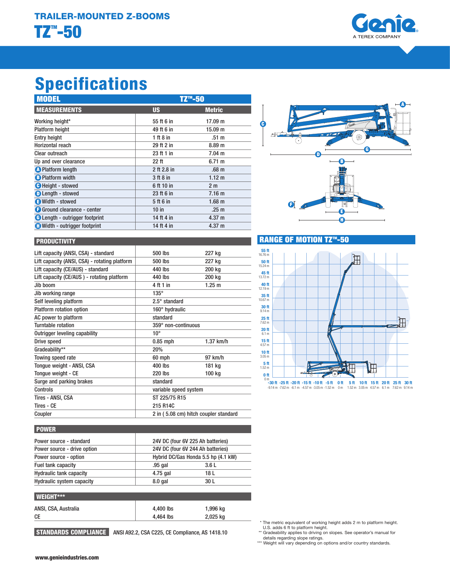

# Specifications

| <b>MODEL</b>                          | TZ <sup>™</sup> -50 |                   |
|---------------------------------------|---------------------|-------------------|
| <b>MEASUREMENTS</b>                   | <b>US</b>           | <b>Metric</b>     |
| Working height*                       | 55 ft 6 in          | 17.09 m           |
| <b>Platform height</b>                | 49 ft 6 in          | 15.09 m           |
| <b>Entry height</b>                   | 1 ft $8$ in         | .51 <sub>m</sub>  |
| Horizontal reach                      | 29 ft 2 in          | 8.89 <sub>m</sub> |
| Clear outreach                        | 23 ft 1 in          | $7.04 \text{ m}$  |
| Up and over clearance                 | $22$ ft             | 6.71 m            |
| <b>O</b> Platform length              | 2 ft 2.8 in         | .68 <sub>m</sub>  |
| <b>B</b> Platform width               | $3$ ft $8$ in       | 1.12 m            |
| <b>O</b> Height - stowed              | 6 ft 10 in          | 2 <sub>m</sub>    |
| <b>D</b> Length - stowed              | 23 ft 6 in          | 7.16 <sub>m</sub> |
| Width - stowed                        | 5 ft 6 in           | 1.68 <sub>m</sub> |
| Ground clearance - center             | $10$ in             | .25 <sub>m</sub>  |
| <b>B</b> Length - outrigger footprint | 14 ft 4 in          | 4.37 m            |
| <b>C</b> Width - outrigger footprint  | 14 ft 4 in          | 4.37 m            |



## **PRODUCTIVITY**

| Lift capacity (ANSI, CSA) - standard          | 500 lbs                               | 227 kg                |  |
|-----------------------------------------------|---------------------------------------|-----------------------|--|
| Lift capacity (ANSI, CSA) - rotating platform | 500 lbs                               | 227 kg                |  |
| Lift capacity (CE/AUS) - standard             | 440 lbs                               | 200 kg                |  |
| Lift capacity (CE/AUS) - rotating platform    | 440 lbs                               | 200 kg                |  |
| .Jib boom                                     | 4 ft 1 in                             | 1.25 m                |  |
| Jib working range                             | $135^\circ$                           |                       |  |
| Self leveling platform                        | $2.5^\circ$ standard                  |                       |  |
| Platform rotation option                      | 160° hydraulic                        |                       |  |
| AC power to platform                          | standard                              |                       |  |
| Turntable rotation                            | 359° non-continuous                   |                       |  |
| Outrigger leveling capability                 | $10^{\circ}$                          |                       |  |
| Drive speed                                   | $0.85$ mph                            | $1.37$ km/h           |  |
| Gradeability**                                | 20%                                   |                       |  |
| Towing speed rate                             | 60 mph                                | 97 km/h               |  |
| Tonque weight - ANSI, CSA                     | 400 lbs                               | 181 kg                |  |
| Tongue weight - CE                            | <b>220 lbs</b>                        | 100 kg                |  |
| Surge and parking brakes                      | standard                              |                       |  |
| Controls                                      |                                       | variable speed system |  |
| Tires - ANSI, CSA                             | ST 225/75 R15                         |                       |  |
| Tires - CF                                    | 215 R14C                              |                       |  |
| Coupler                                       | 2 in (5.08 cm) hitch coupler standard |                       |  |
|                                               |                                       |                       |  |

# **RANGE OF MOTION TZ™-50**



## **POWER**

| Power source - standard        | 24V DC (four 6V 225 Ah batteries)   |  |  |
|--------------------------------|-------------------------------------|--|--|
| Power source - drive option    | 24V DC (four 6V 244 Ah batteries)   |  |  |
| Power source - option          | Hybrid DC/Gas Honda 5.5 hp (4.1 kW) |  |  |
| Fuel tank capacity             | .95 gal<br>3.6L                     |  |  |
| <b>Hydraulic tank capacity</b> | 4.75 gal<br>18 L                    |  |  |
| Hydraulic system capacity      | 30 L<br>$8.0$ gal                   |  |  |
|                                |                                     |  |  |
| <b>WEIGHT***</b>               |                                     |  |  |

| ----------           |           |          |
|----------------------|-----------|----------|
| ANSI, CSA, Australia | 4.400 lbs | 1,996 kg |
| СE                   | 4.464 lbs | 2,025 kg |
|                      |           |          |

STANDARDS COMPLIANCE ANSI A92.2, CSA C225, CE Compliance, AS 1418.10

The metric equivalent of working height adds 2 m to platform height.

U.S. adds 6 ft to platform height.<br>\*\* Gradeability applies to driving on slopes. See operator's manual for<br>details regarding slope ratings.<br>\*\*\* Weight will vary depending on options and/or country standards.